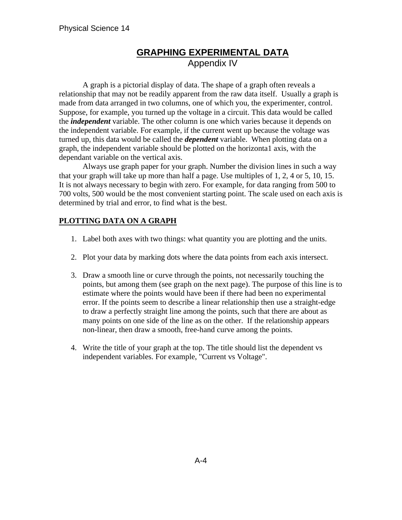## **GRAPHING EXPERIMENTAL DATA** Appendix IV

A graph is a pictorial display of data. The shape of a graph often reveals a relationship that may not be readily apparent from the raw data itself. Usually a graph is made from data arranged in two columns, one of which you, the experimenter, control. Suppose, for example, you turned up the voltage in a circuit. This data would be called the *independent* variable. The other column is one which varies because it depends on the independent variable. For example, if the current went up because the voltage was turned up, this data would be called the *dependent* variable. When plotting data on a graph, the independent variable should be plotted on the horizonta1 axis*,* with the dependant variable on the vertical axis.

Always use graph paper for your graph. Number the division lines in such a way that your graph will take up more than half a page. Use multiples of 1, 2, 4 or 5, 10, 15. It is not always necessary to begin with zero. For example, for data ranging from 500 to 700 volts, 500 would be the most convenient starting point. The scale used on each axis is determined by trial and error, to find what is the best.

## **PLOTTING DATA ON A GRAPH**

- 1. Label both axes with two things: what quantity you are plotting and the units.
- 2. Plot your data by marking dots where the data points from each axis intersect.
- 3. Draw a smooth line or curve through the points, not necessarily touching the points, but among them (see graph on the next page). The purpose of this line is to estimate where the points would have been if there had been no experimental error. If the points seem to describe a linear relationship then use a straight-edge to draw a perfectly straight line among the points, such that there are about as many points on one side of the line as on the other. If the relationship appears non-linear, then draw a smooth, free-hand curve among the points.
- 4. Write the title of your graph at the top. The title should list the dependent vs independent variables. For example, "Current vs Voltage".